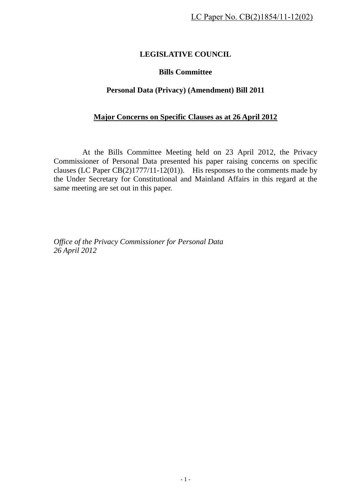## **LEGISLATIVE COUNCIL**

## **Bills Committee**

## **Personal Data (Privacy) (Amendment) Bill 2011**

## **Major Concerns on Specific Clauses as at 26 April 2012**

At the Bills Committee Meeting held on 23 April 2012, the Privacy Commissioner of Personal Data presented his paper raising concerns on specific clauses (LC Paper CB(2)1777/11-12(01)). His responses to the comments made by the Under Secretary for Constitutional and Mainland Affairs in this regard at the same meeting are set out in this paper.

*Office of the Privacy Commissioner for Personal Data 26 April 2012*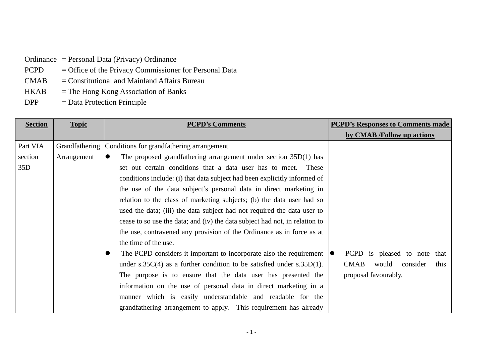- Ordinance = Personal Data (Privacy) Ordinance
- PCPD = Office of the Privacy Commissioner for Personal Data
- CMAB = Constitutional and Mainland Affairs Bureau
- HKAB = The Hong Kong Association of Banks
- DPP = Data Protection Principle

| <b>Section</b> | <b>Topic</b>   | <b>PCPD's Comments</b>                                                                    | <b>PCPD's Responses to Comments made</b> |
|----------------|----------------|-------------------------------------------------------------------------------------------|------------------------------------------|
|                |                |                                                                                           | by CMAB /Follow up actions               |
| Part VIA       | Grandfathering | Conditions for grandfathering arrangement                                                 |                                          |
| section        | Arrangement    | The proposed grandfathering arrangement under section $35D(1)$ has                        |                                          |
| 35D            |                | set out certain conditions that a data user has to meet. These                            |                                          |
|                |                | conditions include: (i) that data subject had been explicitly informed of                 |                                          |
|                |                | the use of the data subject's personal data in direct marketing in                        |                                          |
|                |                | relation to the class of marketing subjects; (b) the data user had so                     |                                          |
|                |                | used the data; (iii) the data subject had not required the data user to                   |                                          |
|                |                | cease to so use the data; and (iv) the data subject had not, in relation to               |                                          |
|                |                | the use, contravened any provision of the Ordinance as in force as at                     |                                          |
|                |                | the time of the use.                                                                      |                                          |
|                |                | The PCPD considers it important to incorporate also the requirement $\vert \bullet \vert$ | PCPD is pleased to note that             |
|                |                | under $s.35C(4)$ as a further condition to be satisfied under $s.35D(1)$ .                | <b>CMAB</b><br>would<br>consider<br>this |
|                |                | The purpose is to ensure that the data user has presented the                             | proposal favourably.                     |
|                |                | information on the use of personal data in direct marketing in a                          |                                          |
|                |                | manner which is easily understandable and readable for the                                |                                          |
|                |                | grandfathering arrangement to apply. This requirement has already                         |                                          |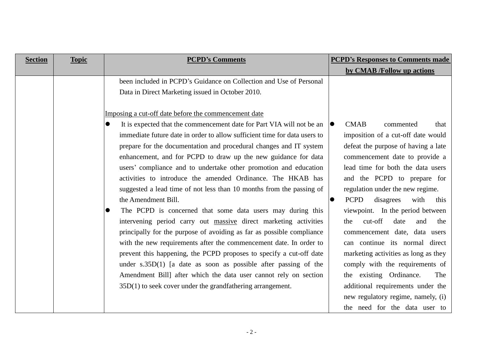| <b>Section</b> | <b>Topic</b> | <b>PCPD's Comments</b>                                                                                                                                                                                                                                                                                                                                                                                                                                                                                                                                                                                                                                                                                                                                                                                                                                                                                                                                                                                                                                                                                                                                | <b>PCPD's Responses to Comments made</b>                                                                                                                                                                                                                                                                                                                                                                                                                                                                                                                                                                                                                                    |
|----------------|--------------|-------------------------------------------------------------------------------------------------------------------------------------------------------------------------------------------------------------------------------------------------------------------------------------------------------------------------------------------------------------------------------------------------------------------------------------------------------------------------------------------------------------------------------------------------------------------------------------------------------------------------------------------------------------------------------------------------------------------------------------------------------------------------------------------------------------------------------------------------------------------------------------------------------------------------------------------------------------------------------------------------------------------------------------------------------------------------------------------------------------------------------------------------------|-----------------------------------------------------------------------------------------------------------------------------------------------------------------------------------------------------------------------------------------------------------------------------------------------------------------------------------------------------------------------------------------------------------------------------------------------------------------------------------------------------------------------------------------------------------------------------------------------------------------------------------------------------------------------------|
|                |              |                                                                                                                                                                                                                                                                                                                                                                                                                                                                                                                                                                                                                                                                                                                                                                                                                                                                                                                                                                                                                                                                                                                                                       | by CMAB /Follow up actions                                                                                                                                                                                                                                                                                                                                                                                                                                                                                                                                                                                                                                                  |
|                |              | been included in PCPD's Guidance on Collection and Use of Personal<br>Data in Direct Marketing issued in October 2010.                                                                                                                                                                                                                                                                                                                                                                                                                                                                                                                                                                                                                                                                                                                                                                                                                                                                                                                                                                                                                                |                                                                                                                                                                                                                                                                                                                                                                                                                                                                                                                                                                                                                                                                             |
|                |              | Imposing a cut-off date before the commencement date<br>It is expected that the commencement date for Part VIA will not be an<br>immediate future date in order to allow sufficient time for data users to<br>prepare for the documentation and procedural changes and IT system<br>enhancement, and for PCPD to draw up the new guidance for data<br>users' compliance and to undertake other promotion and education<br>activities to introduce the amended Ordinance. The HKAB has<br>suggested a lead time of not less than 10 months from the passing of<br>the Amendment Bill.<br>The PCPD is concerned that some data users may during this<br>intervening period carry out massive direct marketing activities<br>principally for the purpose of avoiding as far as possible compliance<br>with the new requirements after the commencement date. In order to<br>prevent this happening, the PCPD proposes to specify a cut-off date<br>under $s.35D(1)$ [a date as soon as possible after passing of the<br>Amendment Bill] after which the data user cannot rely on section<br>$35D(1)$ to seek cover under the grandfathering arrangement. | <b>CMAB</b><br>commented<br>that<br>imposition of a cut-off date would<br>defeat the purpose of having a late<br>commencement date to provide a<br>lead time for both the data users<br>and the PCPD to prepare for<br>regulation under the new regime.<br><b>PCPD</b><br>disagrees<br>with<br>this<br>viewpoint. In the period between<br>cut-off<br>date<br>and<br>the<br>the<br>commencement date, data users<br>can continue its normal direct<br>marketing activities as long as they<br>comply with the requirements of<br>the existing Ordinance.<br>The<br>additional requirements under the<br>new regulatory regime, namely, (i)<br>the need for the data user to |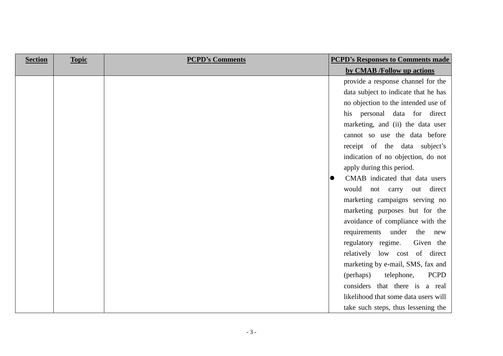| <b>Section</b> | <b>Topic</b> | <b>PCPD's Comments</b> | <b>PCPD's Responses to Comments made</b> |
|----------------|--------------|------------------------|------------------------------------------|
|                |              |                        | by CMAB /Follow up actions               |
|                |              |                        | provide a response channel for the       |
|                |              |                        | data subject to indicate that he has     |
|                |              |                        | no objection to the intended use of      |
|                |              |                        | his personal data for direct             |
|                |              |                        | marketing, and (ii) the data user        |
|                |              |                        | cannot so use the data before            |
|                |              |                        | receipt of the data subject's            |
|                |              |                        | indication of no objection, do not       |
|                |              |                        | apply during this period.                |
|                |              |                        | CMAB indicated that data users           |
|                |              |                        | would<br>not carry out direct            |
|                |              |                        | marketing campaigns serving no           |
|                |              |                        | marketing purposes but for the           |
|                |              |                        | avoidance of compliance with the         |
|                |              |                        | requirements under<br>the<br>new         |
|                |              |                        | regulatory regime.<br>Given the          |
|                |              |                        | relatively low cost of direct            |
|                |              |                        | marketing by e-mail, SMS, fax and        |
|                |              |                        | (perhaps)<br><b>PCPD</b><br>telephone,   |
|                |              |                        | considers that there is a real           |
|                |              |                        | likelihood that some data users will     |
|                |              |                        | take such steps, thus lessening the      |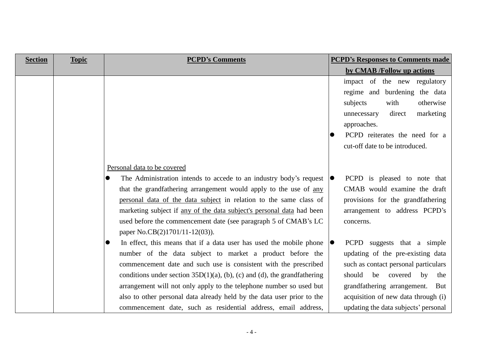| <b>Section</b> | <b>Topic</b> | <b>PCPD's Comments</b>                                                                                                                                                                                                                                                                                                                                                                                                                                                                                 | <b>PCPD's Responses to Comments made</b>                                                                                                                                                                                                                                     |
|----------------|--------------|--------------------------------------------------------------------------------------------------------------------------------------------------------------------------------------------------------------------------------------------------------------------------------------------------------------------------------------------------------------------------------------------------------------------------------------------------------------------------------------------------------|------------------------------------------------------------------------------------------------------------------------------------------------------------------------------------------------------------------------------------------------------------------------------|
|                |              |                                                                                                                                                                                                                                                                                                                                                                                                                                                                                                        | by CMAB /Follow up actions                                                                                                                                                                                                                                                   |
|                |              |                                                                                                                                                                                                                                                                                                                                                                                                                                                                                                        | impact of the new regulatory<br>regime and burdening the data<br>subjects<br>with<br>otherwise<br>direct<br>marketing<br>unnecessary<br>approaches.<br>PCPD reiterates the need for a<br>cut-off date to be introduced.                                                      |
|                |              | Personal data to be covered<br>The Administration intends to accede to an industry body's request $\vert \bullet \vert$<br>that the grandfathering arrangement would apply to the use of any<br>personal data of the data subject in relation to the same class of<br>marketing subject if any of the data subject's personal data had been<br>used before the commencement date (see paragraph 5 of CMAB's LC<br>paper No.CB(2)1701/11-12(03)).                                                       | PCPD is pleased to note that<br>CMAB would examine the draft<br>provisions for the grandfathering<br>arrangement to address PCPD's<br>concerns.                                                                                                                              |
|                |              | In effect, this means that if a data user has used the mobile phone<br>number of the data subject to market a product before the<br>commencement date and such use is consistent with the prescribed<br>conditions under section $35D(1)(a)$ , (b), (c) and (d), the grandfathering<br>arrangement will not only apply to the telephone number so used but<br>also to other personal data already held by the data user prior to the<br>commencement date, such as residential address, email address, | PCPD suggests that a simple<br>$\bullet$<br>updating of the pre-existing data<br>such as contact personal particulars<br>should<br>be covered<br>by<br>the<br>grandfathering arrangement. But<br>acquisition of new data through (i)<br>updating the data subjects' personal |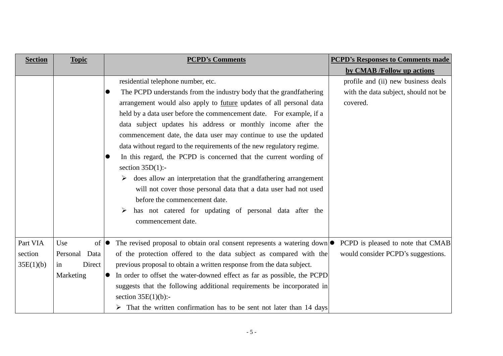| <b>Section</b> | <b>Topic</b>        | <b>PCPD's Comments</b>                                                               | <b>PCPD's Responses to Comments made</b> |
|----------------|---------------------|--------------------------------------------------------------------------------------|------------------------------------------|
|                |                     |                                                                                      | by CMAB /Follow up actions               |
|                |                     | residential telephone number, etc.                                                   | profile and (ii) new business deals      |
|                |                     | The PCPD understands from the industry body that the grandfathering                  | with the data subject, should not be     |
|                |                     | arrangement would also apply to future updates of all personal data                  | covered.                                 |
|                |                     | held by a data user before the commencement date. For example, if a                  |                                          |
|                |                     | data subject updates his address or monthly income after the                         |                                          |
|                |                     | commencement date, the data user may continue to use the updated                     |                                          |
|                |                     | data without regard to the requirements of the new regulatory regime.                |                                          |
|                |                     | In this regard, the PCPD is concerned that the current wording of                    |                                          |
|                |                     | section $35D(1)$ :-                                                                  |                                          |
|                |                     | does allow an interpretation that the grandfathering arrangement<br>➤                |                                          |
|                |                     | will not cover those personal data that a data user had not used                     |                                          |
|                |                     | before the commencement date.                                                        |                                          |
|                |                     | has not catered for updating of personal data after the<br>➤                         |                                          |
|                |                     | commencement date.                                                                   |                                          |
|                |                     |                                                                                      |                                          |
| Part VIA       | Use<br>of $\bullet$ | The revised proposal to obtain oral consent represents a watering down $\bullet$     | PCPD is pleased to note that CMAB        |
| section        | Personal Data       | of the protection offered to the data subject as compared with the                   | would consider PCPD's suggestions.       |
| 35E(1)(b)      | Direct<br>in        | previous proposal to obtain a written response from the data subject.                |                                          |
|                | Marketing           | In order to offset the water-downed effect as far as possible, the PCPD              |                                          |
|                |                     | suggests that the following additional requirements be incorporated in               |                                          |
|                |                     | section $35E(1)(b)$ :-                                                               |                                          |
|                |                     | $\triangleright$ That the written confirmation has to be sent not later than 14 days |                                          |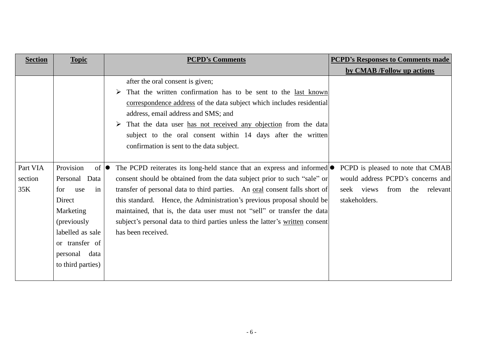| <b>Section</b> | <b>Topic</b>              | <b>PCPD's Comments</b>                                                          | <b>PCPD's Responses to Comments made</b> |
|----------------|---------------------------|---------------------------------------------------------------------------------|------------------------------------------|
|                |                           |                                                                                 | by CMAB /Follow up actions               |
|                |                           | after the oral consent is given;                                                |                                          |
|                |                           | That the written confirmation has to be sent to the last known                  |                                          |
|                |                           | correspondence address of the data subject which includes residential           |                                          |
|                |                           | address, email address and SMS; and                                             |                                          |
|                |                           | That the data user has not received any objection from the data                 |                                          |
|                |                           | subject to the oral consent within 14 days after the written                    |                                          |
|                |                           | confirmation is sent to the data subject.                                       |                                          |
|                |                           |                                                                                 |                                          |
| Part VIA       | Provision<br>of $\bullet$ | The PCPD reiterates its long-held stance that an express and informed $\bullet$ | PCPD is pleased to note that CMAB        |
| section        | Personal Data             | consent should be obtained from the data subject prior to such "sale" or        | would address PCPD's concerns and        |
| 35K            | for<br>in<br>use          | transfer of personal data to third parties. An oral consent falls short of      | from<br>relevant<br>seek views<br>the    |
|                | Direct                    | this standard. Hence, the Administration's previous proposal should be          | stakeholders.                            |
|                | Marketing                 | maintained, that is, the data user must not "sell" or transfer the data         |                                          |
|                | (previously               | subject's personal data to third parties unless the latter's written consent    |                                          |
|                | labelled as sale          | has been received.                                                              |                                          |
|                | or transfer of            |                                                                                 |                                          |
|                | personal data             |                                                                                 |                                          |
|                | to third parties)         |                                                                                 |                                          |
|                |                           |                                                                                 |                                          |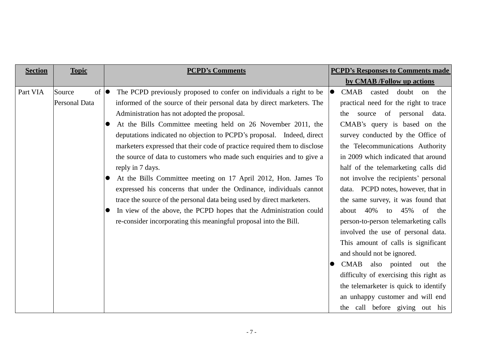| <b>Section</b>     | <b>Topic</b>                  | <b>PCPD's Comments</b>                                                                                                                                                                                                                                                                                                                                                                                                                                                                                                                                                                                                                                                                                                                                                                                                                                                        | <b>PCPD's Responses to Comments made</b>                                                                                                                                                                                                                                                                                                                                                                                                                                                                                                                                                                                                                                                                                                                                                                                                    |
|--------------------|-------------------------------|-------------------------------------------------------------------------------------------------------------------------------------------------------------------------------------------------------------------------------------------------------------------------------------------------------------------------------------------------------------------------------------------------------------------------------------------------------------------------------------------------------------------------------------------------------------------------------------------------------------------------------------------------------------------------------------------------------------------------------------------------------------------------------------------------------------------------------------------------------------------------------|---------------------------------------------------------------------------------------------------------------------------------------------------------------------------------------------------------------------------------------------------------------------------------------------------------------------------------------------------------------------------------------------------------------------------------------------------------------------------------------------------------------------------------------------------------------------------------------------------------------------------------------------------------------------------------------------------------------------------------------------------------------------------------------------------------------------------------------------|
|                    |                               |                                                                                                                                                                                                                                                                                                                                                                                                                                                                                                                                                                                                                                                                                                                                                                                                                                                                               | by CMAB /Follow up actions                                                                                                                                                                                                                                                                                                                                                                                                                                                                                                                                                                                                                                                                                                                                                                                                                  |
| Part VIA<br>Source | of $\bullet$<br>Personal Data | The PCPD previously proposed to confer on individuals a right to be<br>informed of the source of their personal data by direct marketers. The<br>Administration has not adopted the proposal.<br>At the Bills Committee meeting held on 26 November 2011, the<br>deputations indicated no objection to PCPD's proposal. Indeed, direct<br>marketers expressed that their code of practice required them to disclose<br>the source of data to customers who made such enquiries and to give a<br>reply in 7 days.<br>At the Bills Committee meeting on 17 April 2012, Hon. James To<br>expressed his concerns that under the Ordinance, individuals cannot<br>trace the source of the personal data being used by direct marketers.<br>In view of the above, the PCPD hopes that the Administration could<br>re-consider incorporating this meaningful proposal into the Bill. | casted<br><b>CMAB</b><br>doubt on the<br>$\bullet$<br>practical need for the right to trace<br>source<br>of personal<br>the<br>data.<br>CMAB's query is based on the<br>survey conducted by the Office of<br>the Telecommunications Authority<br>in 2009 which indicated that around<br>half of the telemarketing calls did<br>not involve the recipients' personal<br>data. PCPD notes, however, that in<br>the same survey, it was found that<br>40%<br>to $45%$<br>of<br>about<br>the<br>person-to-person telemarketing calls<br>involved the use of personal data.<br>This amount of calls is significant<br>and should not be ignored.<br><b>CMAB</b><br>also pointed out the<br>difficulty of exercising this right as<br>the telemarketer is quick to identify<br>an unhappy customer and will end<br>the call before giving out his |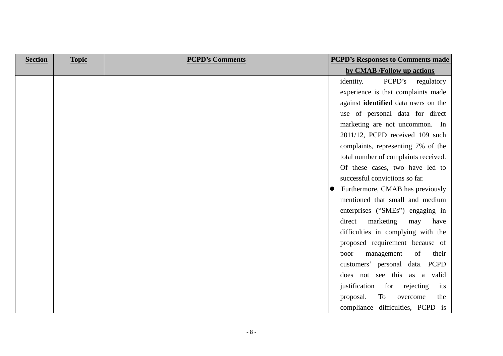| <b>Section</b> | <b>Topic</b> | <b>PCPD's Comments</b> | <b>PCPD's Responses to Comments made</b> |
|----------------|--------------|------------------------|------------------------------------------|
|                |              |                        | by CMAB /Follow up actions               |
|                |              |                        | PCPD's<br>identity.<br>regulatory        |
|                |              |                        | experience is that complaints made       |
|                |              |                        | against identified data users on the     |
|                |              |                        | use of personal data for direct          |
|                |              |                        | marketing are not uncommon. In           |
|                |              |                        | 2011/12, PCPD received 109 such          |
|                |              |                        | complaints, representing 7% of the       |
|                |              |                        | total number of complaints received.     |
|                |              |                        | Of these cases, two have led to          |
|                |              |                        | successful convictions so far.           |
|                |              |                        | Furthermore, CMAB has previously         |
|                |              |                        | mentioned that small and medium          |
|                |              |                        | enterprises ("SMEs") engaging in         |
|                |              |                        | marketing<br>direct<br>have<br>may       |
|                |              |                        | difficulties in complying with the       |
|                |              |                        | proposed requirement because of          |
|                |              |                        | of<br>their<br>management<br>poor        |
|                |              |                        | customers' personal data. PCPD           |
|                |              |                        | does not see this as a valid             |
|                |              |                        | justification<br>for<br>rejecting<br>its |
|                |              |                        | To<br>the<br>proposal.<br>overcome       |
|                |              |                        | compliance difficulties, PCPD is         |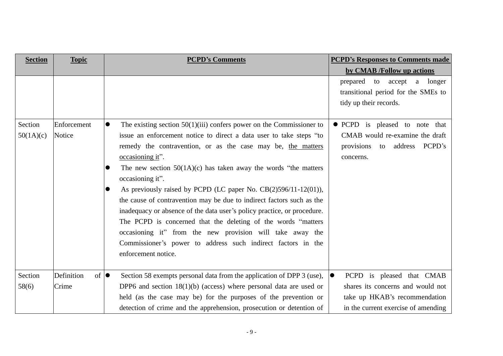| <b>Section</b>       | <b>Topic</b>               | <b>PCPD's Comments</b>                                                                                                                                                                                                                                                                                                                                                                                                                                                                                                                                                                                                                                                                                                                                                                | <b>PCPD's Responses to Comments made</b>                                                                                                                                                                                      |
|----------------------|----------------------------|---------------------------------------------------------------------------------------------------------------------------------------------------------------------------------------------------------------------------------------------------------------------------------------------------------------------------------------------------------------------------------------------------------------------------------------------------------------------------------------------------------------------------------------------------------------------------------------------------------------------------------------------------------------------------------------------------------------------------------------------------------------------------------------|-------------------------------------------------------------------------------------------------------------------------------------------------------------------------------------------------------------------------------|
|                      |                            |                                                                                                                                                                                                                                                                                                                                                                                                                                                                                                                                                                                                                                                                                                                                                                                       | by CMAB /Follow up actions                                                                                                                                                                                                    |
| Section<br>50(1A)(c) | Enforcement<br>Notice      | The existing section $50(1)(iii)$ confers power on the Commissioner to<br>$\bullet$<br>issue an enforcement notice to direct a data user to take steps "to<br>remedy the contravention, or as the case may be, the matters<br>occasioning it".<br>The new section $50(1A)(c)$ has taken away the words "the matters"<br>occasioning it".<br>As previously raised by PCPD (LC paper No. CB(2)596/11-12(01)),<br>the cause of contravention may be due to indirect factors such as the<br>inadequacy or absence of the data user's policy practice, or procedure.<br>The PCPD is concerned that the deleting of the words "matters"<br>occasioning it" from the new provision will take away the<br>Commissioner's power to address such indirect factors in the<br>enforcement notice. | prepared<br>to accept<br>a<br>longer<br>transitional period for the SMEs to<br>tidy up their records.<br>• PCPD is pleased to note that<br>CMAB would re-examine the draft<br>PCPD's<br>provisions to<br>address<br>concerns. |
| Section              | Definition<br>of $\bullet$ | Section 58 exempts personal data from the application of DPP 3 (use),                                                                                                                                                                                                                                                                                                                                                                                                                                                                                                                                                                                                                                                                                                                 | PCPD is pleased that CMAB<br>$\bullet$                                                                                                                                                                                        |
| 58(6)                | Crime                      | DPP6 and section $18(1)(b)$ (access) where personal data are used or                                                                                                                                                                                                                                                                                                                                                                                                                                                                                                                                                                                                                                                                                                                  | shares its concerns and would not                                                                                                                                                                                             |
|                      |                            | held (as the case may be) for the purposes of the prevention or                                                                                                                                                                                                                                                                                                                                                                                                                                                                                                                                                                                                                                                                                                                       | take up HKAB's recommendation                                                                                                                                                                                                 |
|                      |                            | detection of crime and the apprehension, prosecution or detention of                                                                                                                                                                                                                                                                                                                                                                                                                                                                                                                                                                                                                                                                                                                  | in the current exercise of amending                                                                                                                                                                                           |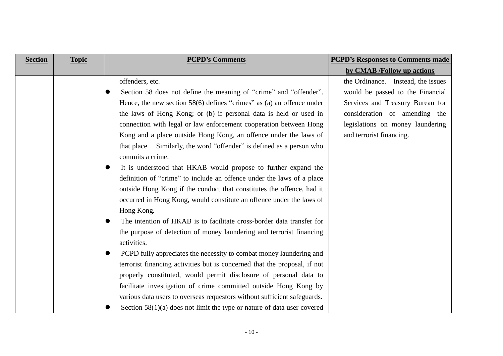| <b>Section</b> | <b>Topic</b> | <b>PCPD's Comments</b>                                                             | <b>PCPD's Responses to Comments made</b> |
|----------------|--------------|------------------------------------------------------------------------------------|------------------------------------------|
|                |              |                                                                                    | by CMAB /Follow up actions               |
|                |              | offenders, etc.                                                                    | the Ordinance. Instead, the issues       |
|                |              | Section 58 does not define the meaning of "crime" and "offender".<br>$\bullet$     | would be passed to the Financial         |
|                |              | Hence, the new section $58(6)$ defines "crimes" as (a) an offence under            | Services and Treasury Bureau for         |
|                |              | the laws of Hong Kong; or (b) if personal data is held or used in                  | consideration of amending the            |
|                |              | connection with legal or law enforcement cooperation between Hong                  | legislations on money laundering         |
|                |              | Kong and a place outside Hong Kong, an offence under the laws of                   | and terrorist financing.                 |
|                |              | that place. Similarly, the word "offender" is defined as a person who              |                                          |
|                |              | commits a crime.                                                                   |                                          |
|                |              | It is understood that HKAB would propose to further expand the<br>$\bullet$        |                                          |
|                |              | definition of "crime" to include an offence under the laws of a place              |                                          |
|                |              | outside Hong Kong if the conduct that constitutes the offence, had it              |                                          |
|                |              | occurred in Hong Kong, would constitute an offence under the laws of               |                                          |
|                |              | Hong Kong.                                                                         |                                          |
|                |              | The intention of HKAB is to facilitate cross-border data transfer for<br>$\bullet$ |                                          |
|                |              | the purpose of detection of money laundering and terrorist financing               |                                          |
|                |              | activities.                                                                        |                                          |
|                |              | PCPD fully appreciates the necessity to combat money laundering and<br>$\bullet$   |                                          |
|                |              | terrorist financing activities but is concerned that the proposal, if not          |                                          |
|                |              | properly constituted, would permit disclosure of personal data to                  |                                          |
|                |              | facilitate investigation of crime committed outside Hong Kong by                   |                                          |
|                |              | various data users to overseas requestors without sufficient safeguards.           |                                          |
|                |              | Section $58(1)(a)$ does not limit the type or nature of data user covered          |                                          |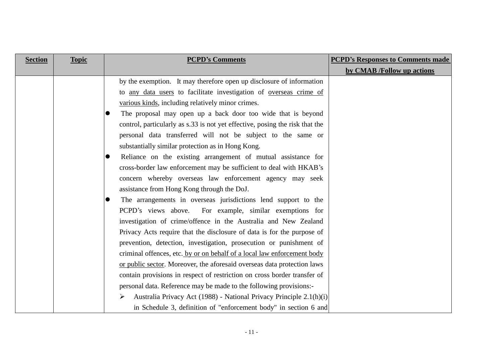| <b>Section</b> | <b>Topic</b> | <b>PCPD's Comments</b>                                                                                                                                                                                                                                                                                                                                                                                                                                                                                                                                                                                                                                                                                                                                                                                                                                                                                                                                                                                                                                                                                                                                                                                                                                                                                                                                                           | <b>PCPD's Responses to Comments made</b> |
|----------------|--------------|----------------------------------------------------------------------------------------------------------------------------------------------------------------------------------------------------------------------------------------------------------------------------------------------------------------------------------------------------------------------------------------------------------------------------------------------------------------------------------------------------------------------------------------------------------------------------------------------------------------------------------------------------------------------------------------------------------------------------------------------------------------------------------------------------------------------------------------------------------------------------------------------------------------------------------------------------------------------------------------------------------------------------------------------------------------------------------------------------------------------------------------------------------------------------------------------------------------------------------------------------------------------------------------------------------------------------------------------------------------------------------|------------------------------------------|
|                |              |                                                                                                                                                                                                                                                                                                                                                                                                                                                                                                                                                                                                                                                                                                                                                                                                                                                                                                                                                                                                                                                                                                                                                                                                                                                                                                                                                                                  | by CMAB /Follow up actions               |
|                |              | by the exemption. It may therefore open up disclosure of information<br>to any data users to facilitate investigation of overseas crime of<br>various kinds, including relatively minor crimes.<br>The proposal may open up a back door too wide that is beyond<br>control, particularly as s.33 is not yet effective, posing the risk that the<br>personal data transferred will not be subject to the same or<br>substantially similar protection as in Hong Kong.<br>Reliance on the existing arrangement of mutual assistance for<br>cross-border law enforcement may be sufficient to deal with HKAB's<br>concern whereby overseas law enforcement agency may seek<br>assistance from Hong Kong through the DoJ.<br>The arrangements in overseas jurisdictions lend support to the<br>PCPD's views above.<br>For example, similar exemptions for<br>investigation of crime/offence in the Australia and New Zealand<br>Privacy Acts require that the disclosure of data is for the purpose of<br>prevention, detection, investigation, prosecution or punishment of<br>criminal offences, etc. by or on behalf of a local law enforcement body<br>or public sector. Moreover, the aforesaid overseas data protection laws<br>contain provisions in respect of restriction on cross border transfer of<br>personal data. Reference may be made to the following provisions:- |                                          |
|                |              | Australia Privacy Act (1988) - National Privacy Principle 2.1(h)(i)<br>in Schedule 3, definition of "enforcement body" in section 6 and                                                                                                                                                                                                                                                                                                                                                                                                                                                                                                                                                                                                                                                                                                                                                                                                                                                                                                                                                                                                                                                                                                                                                                                                                                          |                                          |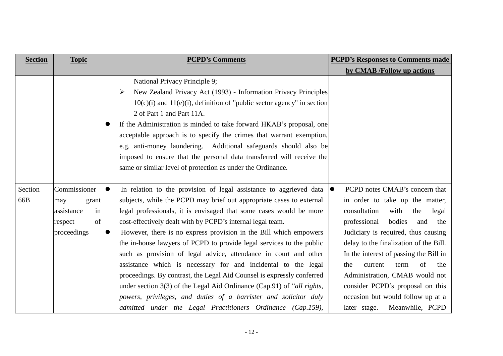| <b>Section</b> | <b>Topic</b>                                                                     | <b>PCPD's Comments</b>                                                                                                                                                                                                                                                                                                                                                                                                                                                                                                                                                                                                                                                                                                                                                                                                                                                            | <b>PCPD's Responses to Comments made</b>                                                                                                                                                                                                                                                                                                                                                                                                                                       |
|----------------|----------------------------------------------------------------------------------|-----------------------------------------------------------------------------------------------------------------------------------------------------------------------------------------------------------------------------------------------------------------------------------------------------------------------------------------------------------------------------------------------------------------------------------------------------------------------------------------------------------------------------------------------------------------------------------------------------------------------------------------------------------------------------------------------------------------------------------------------------------------------------------------------------------------------------------------------------------------------------------|--------------------------------------------------------------------------------------------------------------------------------------------------------------------------------------------------------------------------------------------------------------------------------------------------------------------------------------------------------------------------------------------------------------------------------------------------------------------------------|
|                |                                                                                  |                                                                                                                                                                                                                                                                                                                                                                                                                                                                                                                                                                                                                                                                                                                                                                                                                                                                                   | by CMAB /Follow up actions                                                                                                                                                                                                                                                                                                                                                                                                                                                     |
|                |                                                                                  | National Privacy Principle 9;<br>New Zealand Privacy Act (1993) - Information Privacy Principles<br>➤<br>$10(c)(i)$ and $11(e)(i)$ , definition of "public sector agency" in section<br>2 of Part 1 and Part 11A.<br>If the Administration is minded to take forward HKAB's proposal, one<br>acceptable approach is to specify the crimes that warrant exemption,<br>e.g. anti-money laundering. Additional safeguards should also be<br>imposed to ensure that the personal data transferred will receive the<br>same or similar level of protection as under the Ordinance.                                                                                                                                                                                                                                                                                                     |                                                                                                                                                                                                                                                                                                                                                                                                                                                                                |
| Section<br>66B | Commissioner<br>may<br>grant<br>assistance<br>in<br>of<br>respect<br>proceedings | In relation to the provision of legal assistance to aggrieved data<br>$\bullet$<br>subjects, while the PCPD may brief out appropriate cases to external<br>legal professionals, it is envisaged that some cases would be more<br>cost-effectively dealt with by PCPD's internal legal team.<br>However, there is no express provision in the Bill which empowers<br>$\bullet$<br>the in-house lawyers of PCPD to provide legal services to the public<br>such as provision of legal advice, attendance in court and other<br>assistance which is necessary for and incidental to the legal<br>proceedings. By contrast, the Legal Aid Counsel is expressly conferred<br>under section 3(3) of the Legal Aid Ordinance (Cap.91) of "all rights,<br>powers, privileges, and duties of a barrister and solicitor duly<br>admitted under the Legal Practitioners Ordinance (Cap.159), | PCPD notes CMAB's concern that<br>$\bullet$<br>in order to take up the matter,<br>consultation<br>with<br>the<br>legal<br>bodies<br>professional<br>and<br>the<br>Judiciary is required, thus causing<br>delay to the finalization of the Bill.<br>In the interest of passing the Bill in<br>of<br>the<br>current<br>the<br>term<br>Administration, CMAB would not<br>consider PCPD's proposal on this<br>occasion but would follow up at a<br>Meanwhile, PCPD<br>later stage. |